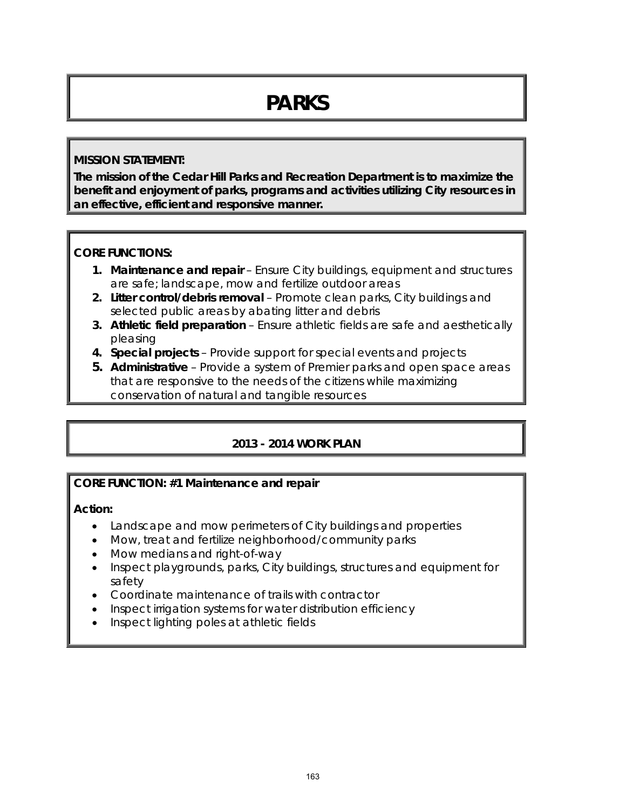# **PARKS**

### **MISSION STATEMENT:**

**The mission of the Cedar Hill Parks and Recreation Department is to maximize the benefit and enjoyment of parks, programs and activities utilizing City resources in an effective, efficient and responsive manner.**

### **CORE FUNCTIONS:**

- **1. Maintenance and repair** Ensure City buildings, equipment and structures are safe; landscape, mow and fertilize outdoor areas
- **2. Litter control/debris removal** Promote clean parks, City buildings and selected public areas by abating litter and debris
- **3. Athletic field preparation** Ensure athletic fields are safe and aesthetically pleasing
- **4. Special projects** Provide support for special events and projects
- **5. Administrative** Provide a system of Premier parks and open space areas that are responsive to the needs of the citizens while maximizing conservation of natural and tangible resources

## **2013 - 2014 WORK PLAN**

## **CORE FUNCTION: #1 Maintenance and repair**

**Action:** 

- Landscape and mow perimeters of City buildings and properties
- Mow, treat and fertilize neighborhood/community parks
- Mow medians and right-of-way
- Inspect playgrounds, parks, City buildings, structures and equipment for safety
- Coordinate maintenance of trails with contractor
- Inspect irrigation systems for water distribution efficiency
- Inspect lighting poles at athletic fields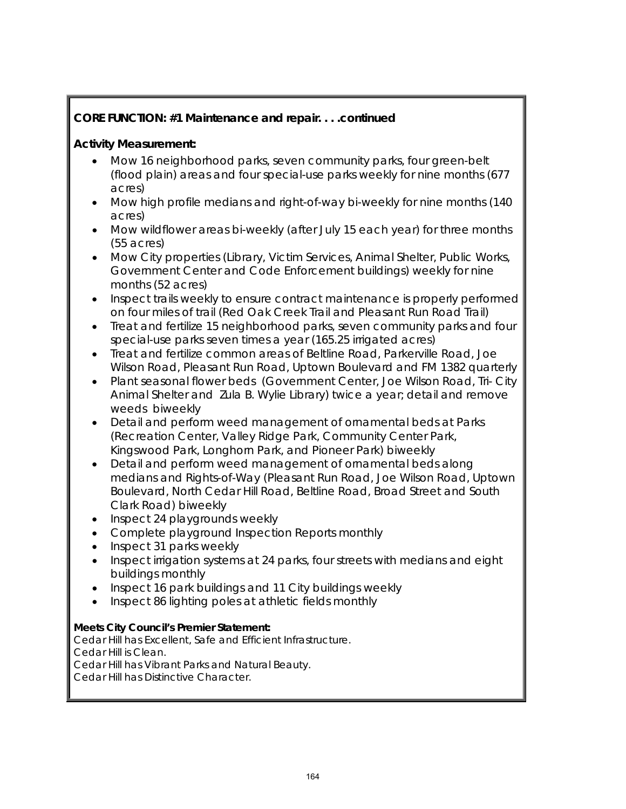## **CORE FUNCTION: #1 Maintenance and repair. . . .continued**

### **Activity Measurement:**

- Mow 16 neighborhood parks, seven community parks, four green-belt (flood plain) areas and four special-use parks weekly for nine months (677 acres)
- Mow high profile medians and right-of-way bi-weekly for nine months (140 acres)
- Mow wildflower areas bi-weekly (after July 15 each year) for three months (55 acres)
- Mow City properties (Library, Victim Services, Animal Shelter, Public Works, Government Center and Code Enforcement buildings) weekly for nine months (52 acres)
- Inspect trails weekly to ensure contract maintenance is properly performed on four miles of trail (Red Oak Creek Trail and Pleasant Run Road Trail)
- Treat and fertilize 15 neighborhood parks, seven community parks and four special-use parks seven times a year (165.25 irrigated acres)
- Treat and fertilize common areas of Beltline Road, Parkerville Road, Joe Wilson Road, Pleasant Run Road, Uptown Boulevard and FM 1382 quarterly
- Plant seasonal flower beds (Government Center, Joe Wilson Road, Tri- City Animal Shelter and Zula B. Wylie Library) twice a year; detail and remove weeds biweekly
- Detail and perform weed management of ornamental beds at Parks (Recreation Center, Valley Ridge Park, Community Center Park, Kingswood Park, Longhorn Park, and Pioneer Park) biweekly
- Detail and perform weed management of ornamental beds along medians and Rights-of-Way (Pleasant Run Road, Joe Wilson Road, Uptown Boulevard, North Cedar Hill Road, Beltline Road, Broad Street and South Clark Road) biweekly
- Inspect 24 playgrounds weekly
- Complete playground Inspection Reports monthly
- Inspect 31 parks weekly
- Inspect irrigation systems at 24 parks, four streets with medians and eight buildings monthly
- Inspect 16 park buildings and 11 City buildings weekly
- Inspect 86 lighting poles at athletic fields monthly

#### **Meets City Council's Premier Statement:**

Cedar Hill has Excellent, Safe and Efficient Infrastructure. Cedar Hill is Clean. Cedar Hill has Vibrant Parks and Natural Beauty.

Cedar Hill has Distinctive Character.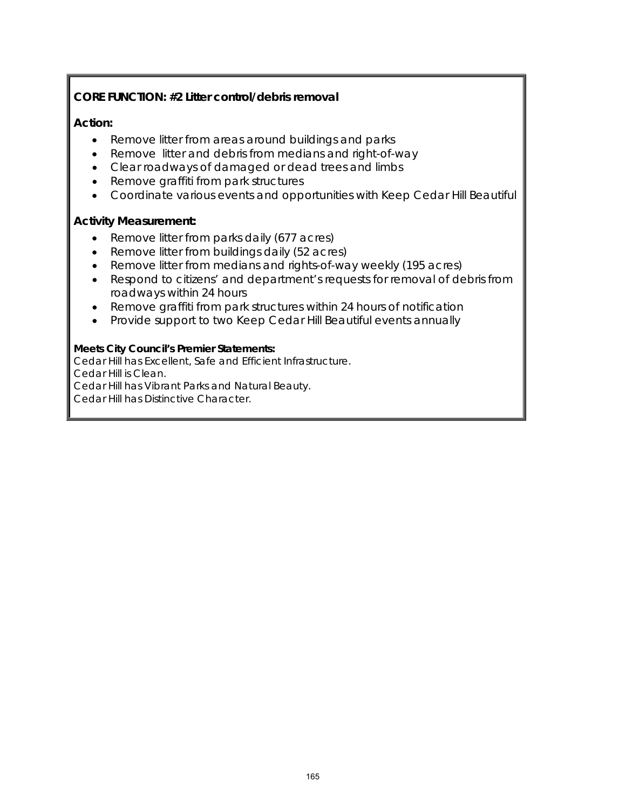### **CORE FUNCTION: #2 Litter control/debris removal**

#### **Action:**

- Remove litter from areas around buildings and parks
- Remove litter and debris from medians and right-of-way
- Clear roadways of damaged or dead trees and limbs
- Remove graffiti from park structures
- Coordinate various events and opportunities with Keep Cedar Hill Beautiful

#### **Activity Measurement:**

- Remove litter from parks daily (677 acres)
- Remove litter from buildings daily (52 acres)
- Remove litter from medians and rights-of-way weekly (195 acres)
- Respond to citizens' and department's requests for removal of debris from roadways within 24 hours
- Remove graffiti from park structures within 24 hours of notification
- Provide support to two Keep Cedar Hill Beautiful events annually

#### **Meets City Council's Premier Statements:**

Cedar Hill has Excellent, Safe and Efficient Infrastructure. Cedar Hill is Clean. Cedar Hill has Vibrant Parks and Natural Beauty. Cedar Hill has Distinctive Character.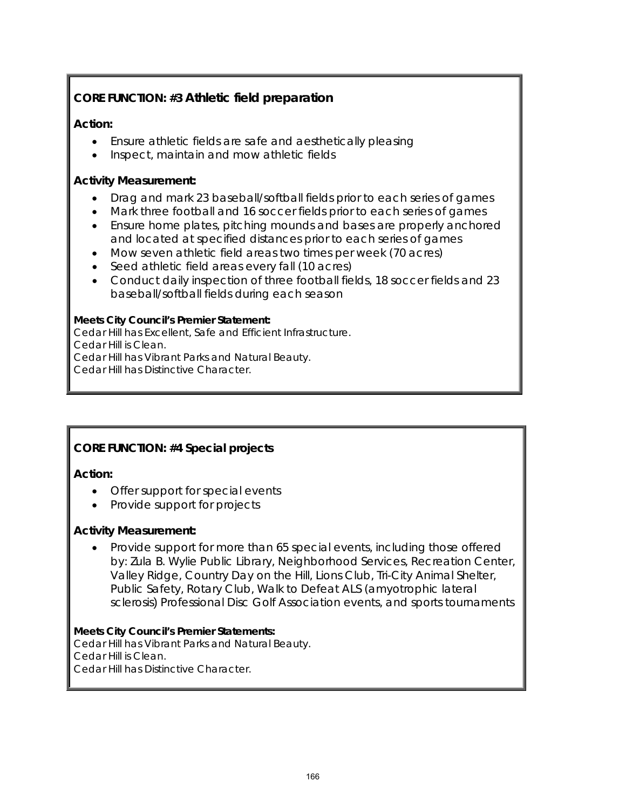## **CORE FUNCTION: #3 Athletic field preparation**

## **Action:**

- Ensure athletic fields are safe and aesthetically pleasing
- Inspect, maintain and mow athletic fields

## **Activity Measurement:**

- Drag and mark 23 baseball/softball fields prior to each series of games
- Mark three football and 16 soccer fields prior to each series of games
- Ensure home plates, pitching mounds and bases are properly anchored and located at specified distances prior to each series of games
- Mow seven athletic field areas two times per week (70 acres)
- Seed athletic field areas every fall (10 acres)
- Conduct daily inspection of three football fields, 18 soccer fields and 23 baseball/softball fields during each season

#### **Meets City Council's Premier Statement:**

Cedar Hill has Excellent, Safe and Efficient Infrastructure.

Cedar Hill is Clean.

Cedar Hill has Vibrant Parks and Natural Beauty.

Cedar Hill has Distinctive Character.

## **CORE FUNCTION: #4 Special projects**

#### **Action:**

- Offer support for special events
- Provide support for projects

#### **Activity Measurement:**

• Provide support for more than 65 special events, including those offered by: Zula B. Wylie Public Library, Neighborhood Services, Recreation Center, Valley Ridge, Country Day on the Hill, Lions Club, Tri-City Animal Shelter, Public Safety, Rotary Club, Walk to Defeat ALS (amyotrophic lateral sclerosis) Professional Disc Golf Association events, and sports tournaments

#### **Meets City Council's Premier Statements:**

Cedar Hill has Vibrant Parks and Natural Beauty. Cedar Hill is Clean. Cedar Hill has Distinctive Character.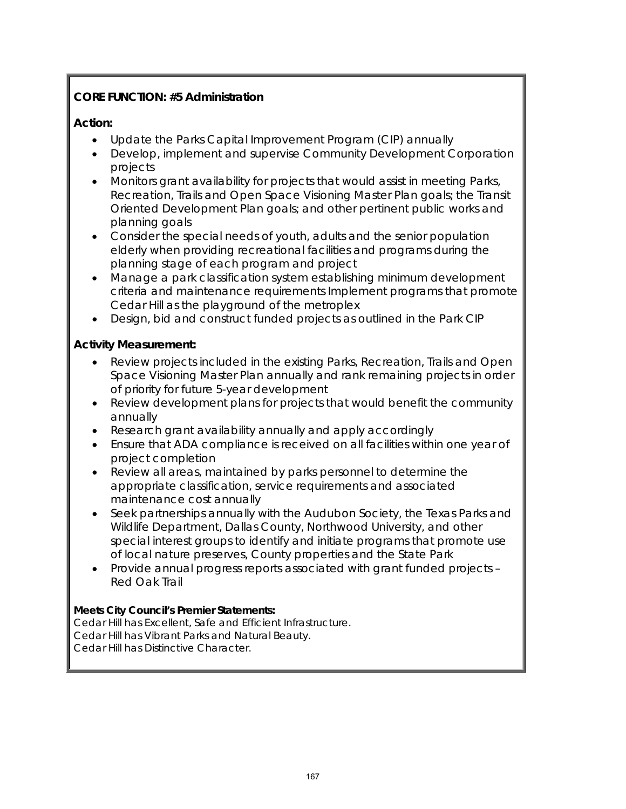## **CORE FUNCTION: #5 Administration**

### **Action:**

- Update the Parks Capital Improvement Program (CIP) annually
- Develop, implement and supervise Community Development Corporation projects
- Monitors grant availability for projects that would assist in meeting Parks, Recreation, Trails and Open Space Visioning Master Plan goals; the Transit Oriented Development Plan goals; and other pertinent public works and planning goals
- Consider the special needs of youth, adults and the senior population elderly when providing recreational facilities and programs during the planning stage of each program and project
- Manage a park classification system establishing minimum development criteria and maintenance requirements Implement programs that promote Cedar Hill as the playground of the metroplex
- Design, bid and construct funded projects as outlined in the Park CIP

## **Activity Measurement:**

- Review projects included in the existing Parks, Recreation, Trails and Open Space Visioning Master Plan annually and rank remaining projects in order of priority for future 5-year development
- Review development plans for projects that would benefit the community annually
- Research grant availability annually and apply accordingly
- Ensure that ADA compliance is received on all facilities within one year of project completion
- Review all areas, maintained by parks personnel to determine the appropriate classification, service requirements and associated maintenance cost annually
- Seek partnerships annually with the Audubon Society, the Texas Parks and Wildlife Department, Dallas County, Northwood University, and other special interest groups to identify and initiate programs that promote use of local nature preserves, County properties and the State Park
- Provide annual progress reports associated with grant funded projects Red Oak Trail

#### **Meets City Council's Premier Statements:**

Cedar Hill has Excellent, Safe and Efficient Infrastructure. Cedar Hill has Vibrant Parks and Natural Beauty. Cedar Hill has Distinctive Character.